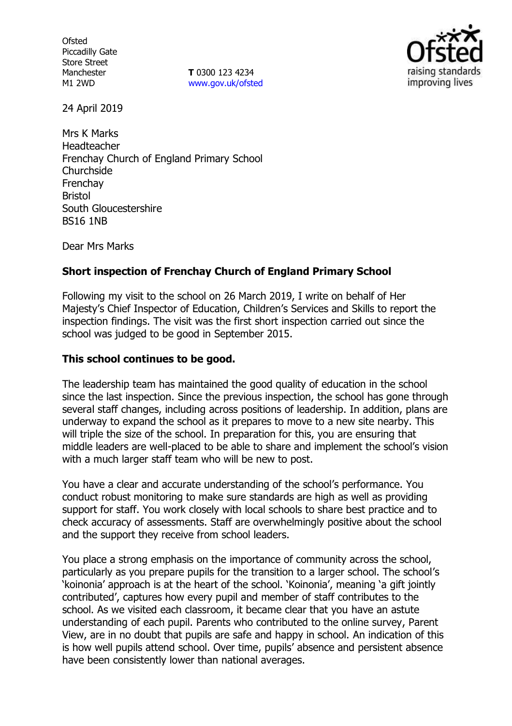**Ofsted** Piccadilly Gate Store Street Manchester M1 2WD

**T** 0300 123 4234 [www.gov.uk/ofsted](http://www.gov.uk/ofsted)



24 April 2019

Mrs K Marks Headteacher Frenchay Church of England Primary School **Churchside** Frenchay Bristol South Gloucestershire BS16 1NB

Dear Mrs Marks

## **Short inspection of Frenchay Church of England Primary School**

Following my visit to the school on 26 March 2019, I write on behalf of Her Majesty's Chief Inspector of Education, Children's Services and Skills to report the inspection findings. The visit was the first short inspection carried out since the school was judged to be good in September 2015.

### **This school continues to be good.**

The leadership team has maintained the good quality of education in the school since the last inspection. Since the previous inspection, the school has gone through several staff changes, including across positions of leadership. In addition, plans are underway to expand the school as it prepares to move to a new site nearby. This will triple the size of the school. In preparation for this, you are ensuring that middle leaders are well-placed to be able to share and implement the school's vision with a much larger staff team who will be new to post.

You have a clear and accurate understanding of the school's performance. You conduct robust monitoring to make sure standards are high as well as providing support for staff. You work closely with local schools to share best practice and to check accuracy of assessments. Staff are overwhelmingly positive about the school and the support they receive from school leaders.

You place a strong emphasis on the importance of community across the school, particularly as you prepare pupils for the transition to a larger school. The school's 'koinonia' approach is at the heart of the school. 'Koinonia', meaning 'a gift jointly contributed', captures how every pupil and member of staff contributes to the school. As we visited each classroom, it became clear that you have an astute understanding of each pupil. Parents who contributed to the online survey, Parent View, are in no doubt that pupils are safe and happy in school. An indication of this is how well pupils attend school. Over time, pupils' absence and persistent absence have been consistently lower than national averages.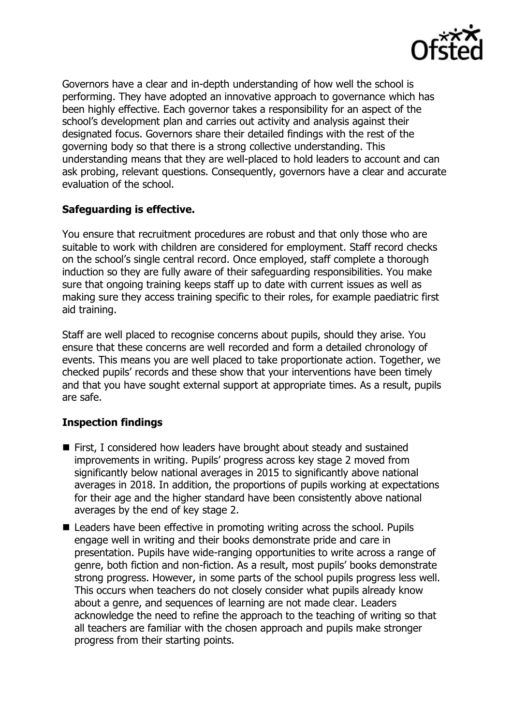

Governors have a clear and in-depth understanding of how well the school is performing. They have adopted an innovative approach to governance which has been highly effective. Each governor takes a responsibility for an aspect of the school's development plan and carries out activity and analysis against their designated focus. Governors share their detailed findings with the rest of the governing body so that there is a strong collective understanding. This understanding means that they are well-placed to hold leaders to account and can ask probing, relevant questions. Consequently, governors have a clear and accurate evaluation of the school.

## **Safeguarding is effective.**

You ensure that recruitment procedures are robust and that only those who are suitable to work with children are considered for employment. Staff record checks on the school's single central record. Once employed, staff complete a thorough induction so they are fully aware of their safeguarding responsibilities. You make sure that ongoing training keeps staff up to date with current issues as well as making sure they access training specific to their roles, for example paediatric first aid training.

Staff are well placed to recognise concerns about pupils, should they arise. You ensure that these concerns are well recorded and form a detailed chronology of events. This means you are well placed to take proportionate action. Together, we checked pupils' records and these show that your interventions have been timely and that you have sought external support at appropriate times. As a result, pupils are safe.

# **Inspection findings**

- First, I considered how leaders have brought about steady and sustained improvements in writing. Pupils' progress across key stage 2 moved from significantly below national averages in 2015 to significantly above national averages in 2018. In addition, the proportions of pupils working at expectations for their age and the higher standard have been consistently above national averages by the end of key stage 2.
- Leaders have been effective in promoting writing across the school. Pupils engage well in writing and their books demonstrate pride and care in presentation. Pupils have wide-ranging opportunities to write across a range of genre, both fiction and non-fiction. As a result, most pupils' books demonstrate strong progress. However, in some parts of the school pupils progress less well. This occurs when teachers do not closely consider what pupils already know about a genre, and sequences of learning are not made clear. Leaders acknowledge the need to refine the approach to the teaching of writing so that all teachers are familiar with the chosen approach and pupils make stronger progress from their starting points.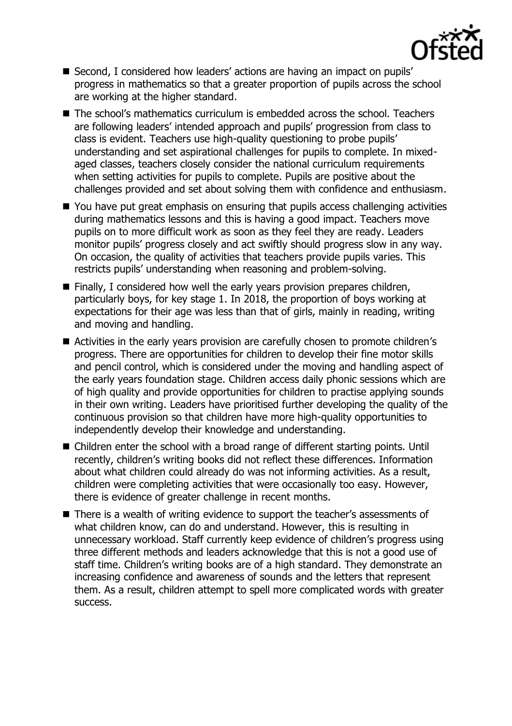

- Second, I considered how leaders' actions are having an impact on pupils' progress in mathematics so that a greater proportion of pupils across the school are working at the higher standard.
- The school's mathematics curriculum is embedded across the school. Teachers are following leaders' intended approach and pupils' progression from class to class is evident. Teachers use high-quality questioning to probe pupils' understanding and set aspirational challenges for pupils to complete. In mixedaged classes, teachers closely consider the national curriculum requirements when setting activities for pupils to complete. Pupils are positive about the challenges provided and set about solving them with confidence and enthusiasm.
- You have put great emphasis on ensuring that pupils access challenging activities during mathematics lessons and this is having a good impact. Teachers move pupils on to more difficult work as soon as they feel they are ready. Leaders monitor pupils' progress closely and act swiftly should progress slow in any way. On occasion, the quality of activities that teachers provide pupils varies. This restricts pupils' understanding when reasoning and problem-solving.
- Finally, I considered how well the early years provision prepares children, particularly boys, for key stage 1. In 2018, the proportion of boys working at expectations for their age was less than that of girls, mainly in reading, writing and moving and handling.
- Activities in the early years provision are carefully chosen to promote children's progress. There are opportunities for children to develop their fine motor skills and pencil control, which is considered under the moving and handling aspect of the early years foundation stage. Children access daily phonic sessions which are of high quality and provide opportunities for children to practise applying sounds in their own writing. Leaders have prioritised further developing the quality of the continuous provision so that children have more high-quality opportunities to independently develop their knowledge and understanding.
- Children enter the school with a broad range of different starting points. Until recently, children's writing books did not reflect these differences. Information about what children could already do was not informing activities. As a result, children were completing activities that were occasionally too easy. However, there is evidence of greater challenge in recent months.
- There is a wealth of writing evidence to support the teacher's assessments of what children know, can do and understand. However, this is resulting in unnecessary workload. Staff currently keep evidence of children's progress using three different methods and leaders acknowledge that this is not a good use of staff time. Children's writing books are of a high standard. They demonstrate an increasing confidence and awareness of sounds and the letters that represent them. As a result, children attempt to spell more complicated words with greater success.